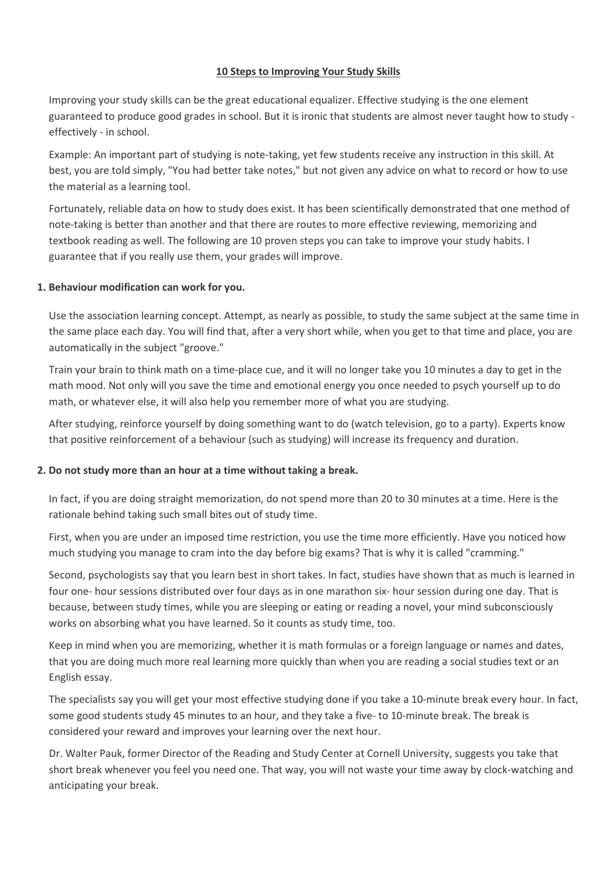#### **10 Steps to Improving Your Study Skills**

Improving your study skills can be the great educational equalizer. Effective studying is the one element guaranteed to produce good grades in school. But it is ironic that students are almost never taught how to study effectively - in school.

Example: An important part of studying is note-taking, yet few students receive any instruction in this skill. At best, you are told simply, "You had better take notes," but not given any advice on what to record or how to use the material as a learning tool.

Fortunately, reliable data on how to study does exist. It has been scientifically demonstrated that one method of note-taking is better than another and that there are routes to more effective reviewing, memorizing and textbook reading as well. The following are 10 proven steps you can take to improve your study habits. I guarantee that if you really use them, your grades will improve.

#### **1. Behaviour modification can work for you.**

Use the association learning concept. Attempt, as nearly as possible, to study the same subject at the same time in the same place each day. You will find that, after a very short while, when you get to that time and place, you are automatically in the subject "groove."

Train your brain to think math on a time-place cue, and it will no longer take you 10 minutes a day to get in the math mood. Not only will you save the time and emotional energy you once needed to psych yourself up to do math, or whatever else, it will also help you remember more of what you are studying.

After studying, reinforce yourself by doing something want to do (watch television, go to a party). Experts know that positive reinforcement of a behaviour (such as studying) will increase its frequency and duration.

#### **2. Do not study more than an hour at a time without taking a break.**

In fact, if you are doing straight memorization, do not spend more than 20 to 30 minutes at a time. Here is the rationale behind taking such small bites out of study time.

First, when you are under an imposed time restriction, you use the time more efficiently. Have you noticed how much studying you manage to cram into the day before big exams? That is why it is called "cramming."

Second, psychologists say that you learn best in short takes. In fact, studies have shown that as much is learned in four one- hour sessions distributed over four days as in one marathon six- hour session during one day. That is because, between study times, while you are sleeping or eating or reading a novel, your mind subconsciously works on absorbing what you have learned. So it counts as study time, too.

Keep in mind when you are memorizing, whether it is math formulas or a foreign language or names and dates, that you are doing much more real learning more quickly than when you are reading a social studies text or an English essay.

The specialists say you will get your most effective studying done if you take a 10-minute break every hour. In fact, some good students study 45 minutes to an hour, and they take a five- to 10-minute break. The break is considered your reward and improves your learning over the next hour.

Dr. Walter Pauk, former Director of the Reading and Study Center at Cornell University, suggests you take that short break whenever you feel you need one. That way, you will not waste your time away by clock-watching and anticipating your break.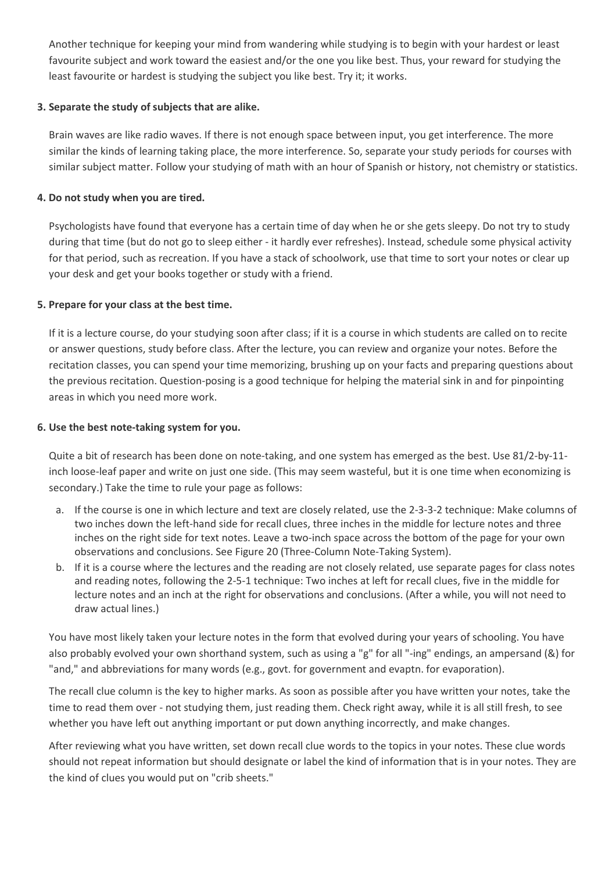Another technique for keeping your mind from wandering while studying is to begin with your hardest or least favourite subject and work toward the easiest and/or the one you like best. Thus, your reward for studying the least favourite or hardest is studying the subject you like best. Try it; it works.

# **3. Separate the study of subjects that are alike.**

Brain waves are like radio waves. If there is not enough space between input, you get interference. The more similar the kinds of learning taking place, the more interference. So, separate your study periods for courses with similar subject matter. Follow your studying of math with an hour of Spanish or history, not chemistry or statistics.

### **4. Do not study when you are tired.**

Psychologists have found that everyone has a certain time of day when he or she gets sleepy. Do not try to study during that time (but do not go to sleep either - it hardly ever refreshes). Instead, schedule some physical activity for that period, such as recreation. If you have a stack of schoolwork, use that time to sort your notes or clear up your desk and get your books together or study with a friend.

# **5. Prepare for your class at the best time.**

If it is a lecture course, do your studying soon after class; if it is a course in which students are called on to recite or answer questions, study before class. After the lecture, you can review and organize your notes. Before the recitation classes, you can spend your time memorizing, brushing up on your facts and preparing questions about the previous recitation. Question-posing is a good technique for helping the material sink in and for pinpointing areas in which you need more work.

### **6. Use the best note-taking system for you.**

Quite a bit of research has been done on note-taking, and one system has emerged as the best. Use 81/2-by-11 inch loose-leaf paper and write on just one side. (This may seem wasteful, but it is one time when economizing is secondary.) Take the time to rule your page as follows:

- a. If the course is one in which lecture and text are closely related, use the 2-3-3-2 technique: Make columns of two inches down the left-hand side for recall clues, three inches in the middle for lecture notes and three inches on the right side for text notes. Leave a two-inch space across the bottom of the page for your own observations and conclusions. See Figure 20 (Three-Column Note-Taking System).
- b. If it is a course where the lectures and the reading are not closely related, use separate pages for class notes and reading notes, following the 2-5-1 technique: Two inches at left for recall clues, five in the middle for lecture notes and an inch at the right for observations and conclusions. (After a while, you will not need to draw actual lines.)

You have most likely taken your lecture notes in the form that evolved during your years of schooling. You have also probably evolved your own shorthand system, such as using a "g" for all "-ing" endings, an ampersand (&) for "and," and abbreviations for many words (e.g., govt. for government and evaptn. for evaporation).

The recall clue column is the key to higher marks. As soon as possible after you have written your notes, take the time to read them over - not studying them, just reading them. Check right away, while it is all still fresh, to see whether you have left out anything important or put down anything incorrectly, and make changes.

After reviewing what you have written, set down recall clue words to the topics in your notes. These clue words should not repeat information but should designate or label the kind of information that is in your notes. They are the kind of clues you would put on "crib sheets."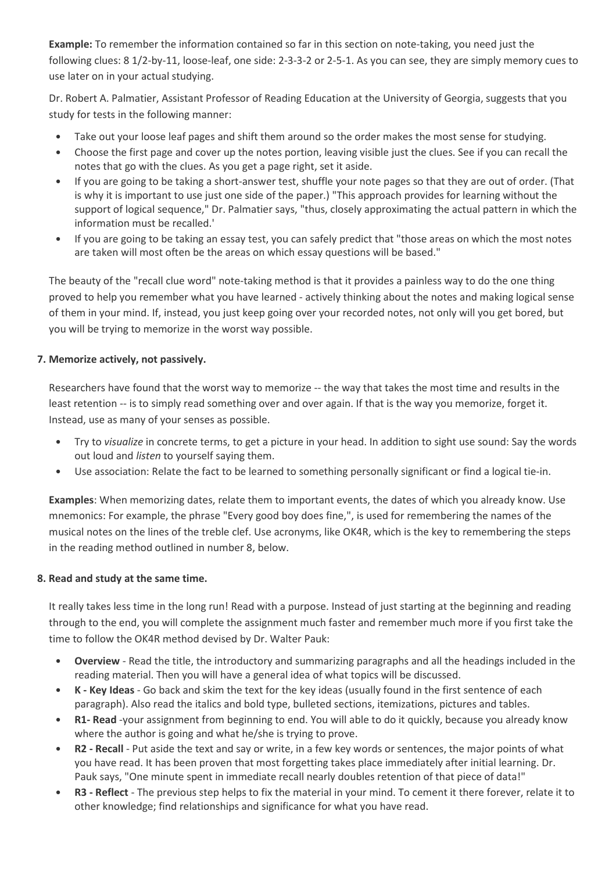**Example:** To remember the information contained so far in this section on note-taking, you need just the following clues: 8 1/2-by-11, loose-leaf, one side: 2-3-3-2 or 2-5-1. As you can see, they are simply memory cues to use later on in your actual studying.

Dr. Robert A. Palmatier, Assistant Professor of Reading Education at the University of Georgia, suggests that you study for tests in the following manner:

- Take out your loose leaf pages and shift them around so the order makes the most sense for studying.
- Choose the first page and cover up the notes portion, leaving visible just the clues. See if you can recall the notes that go with the clues. As you get a page right, set it aside.
- If you are going to be taking a short-answer test, shuffle your note pages so that they are out of order. (That is why it is important to use just one side of the paper.) "This approach provides for learning without the support of logical sequence," Dr. Palmatier says, "thus, closely approximating the actual pattern in which the information must be recalled.'
- If you are going to be taking an essay test, you can safely predict that "those areas on which the most notes are taken will most often be the areas on which essay questions will be based."

The beauty of the "recall clue word" note-taking method is that it provides a painless way to do the one thing proved to help you remember what you have learned - actively thinking about the notes and making logical sense of them in your mind. If, instead, you just keep going over your recorded notes, not only will you get bored, but you will be trying to memorize in the worst way possible.

# **7. Memorize actively, not passively.**

Researchers have found that the worst way to memorize -- the way that takes the most time and results in the least retention -- is to simply read something over and over again. If that is the way you memorize, forget it. Instead, use as many of your senses as possible.

- Try to *visualize* in concrete terms, to get a picture in your head. In addition to sight use sound: Say the words out loud and *listen* to yourself saying them.
- Use association: Relate the fact to be learned to something personally significant or find a logical tie-in.

**Examples**: When memorizing dates, relate them to important events, the dates of which you already know. Use mnemonics: For example, the phrase "Every good boy does fine,", is used for remembering the names of the musical notes on the lines of the treble clef. Use acronyms, like OK4R, which is the key to remembering the steps in the reading method outlined in number 8, below.

### **8. Read and study at the same time.**

It really takes less time in the long run! Read with a purpose. Instead of just starting at the beginning and reading through to the end, you will complete the assignment much faster and remember much more if you first take the time to follow the OK4R method devised by Dr. Walter Pauk:

- **Overview** Read the title, the introductory and summarizing paragraphs and all the headings included in the reading material. Then you will have a general idea of what topics will be discussed.
- **K Key Ideas** Go back and skim the text for the key ideas (usually found in the first sentence of each paragraph). Also read the italics and bold type, bulleted sections, itemizations, pictures and tables.
- **R1- Read** -your assignment from beginning to end. You will able to do it quickly, because you already know where the author is going and what he/she is trying to prove.
- **R2 Recall** Put aside the text and say or write, in a few key words or sentences, the major points of what you have read. It has been proven that most forgetting takes place immediately after initial learning. Dr. Pauk says, "One minute spent in immediate recall nearly doubles retention of that piece of data!"
- **R3 Reflect** The previous step helps to fix the material in your mind. To cement it there forever, relate it to other knowledge; find relationships and significance for what you have read.